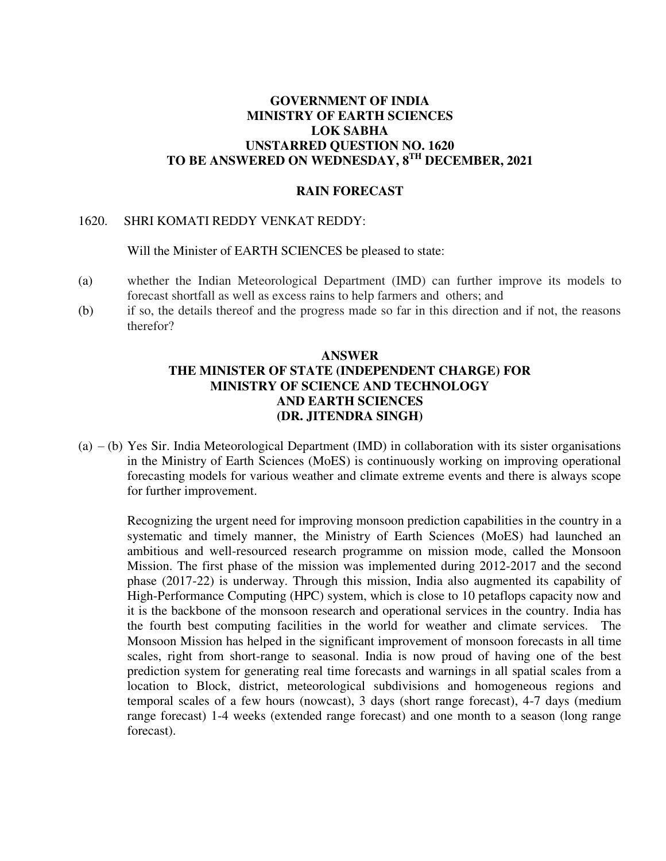# **GOVERNMENT OF INDIA MINISTRY OF EARTH SCIENCES LOK SABHA UNSTARRED QUESTION NO. 1620 TO BE ANSWERED ON WEDNESDAY, 8TH DECEMBER, 2021**

#### **RAIN FORECAST**

#### 1620. SHRI KOMATI REDDY VENKAT REDDY:

Will the Minister of EARTH SCIENCES be pleased to state:

- (a) whether the Indian Meteorological Department (IMD) can further improve its models to forecast shortfall as well as excess rains to help farmers and others; and
- (b) if so, the details thereof and the progress made so far in this direction and if not, the reasons therefor?

### **ANSWER THE MINISTER OF STATE (INDEPENDENT CHARGE) FOR MINISTRY OF SCIENCE AND TECHNOLOGY AND EARTH SCIENCES (DR. JITENDRA SINGH)**

(a) – (b) Yes Sir. India Meteorological Department (IMD) in collaboration with its sister organisations in the Ministry of Earth Sciences (MoES) is continuously working on improving operational forecasting models for various weather and climate extreme events and there is always scope for further improvement.

Recognizing the urgent need for improving monsoon prediction capabilities in the country in a systematic and timely manner, the Ministry of Earth Sciences (MoES) had launched an ambitious and well-resourced research programme on mission mode, called the Monsoon Mission. The first phase of the mission was implemented during 2012-2017 and the second phase (2017-22) is underway. Through this mission, India also augmented its capability of High-Performance Computing (HPC) system, which is close to 10 petaflops capacity now and it is the backbone of the monsoon research and operational services in the country. India has the fourth best computing facilities in the world for weather and climate services. The Monsoon Mission has helped in the significant improvement of monsoon forecasts in all time scales, right from short-range to seasonal. India is now proud of having one of the best prediction system for generating real time forecasts and warnings in all spatial scales from a location to Block, district, meteorological subdivisions and homogeneous regions and temporal scales of a few hours (nowcast), 3 days (short range forecast), 4-7 days (medium range forecast) 1-4 weeks (extended range forecast) and one month to a season (long range forecast).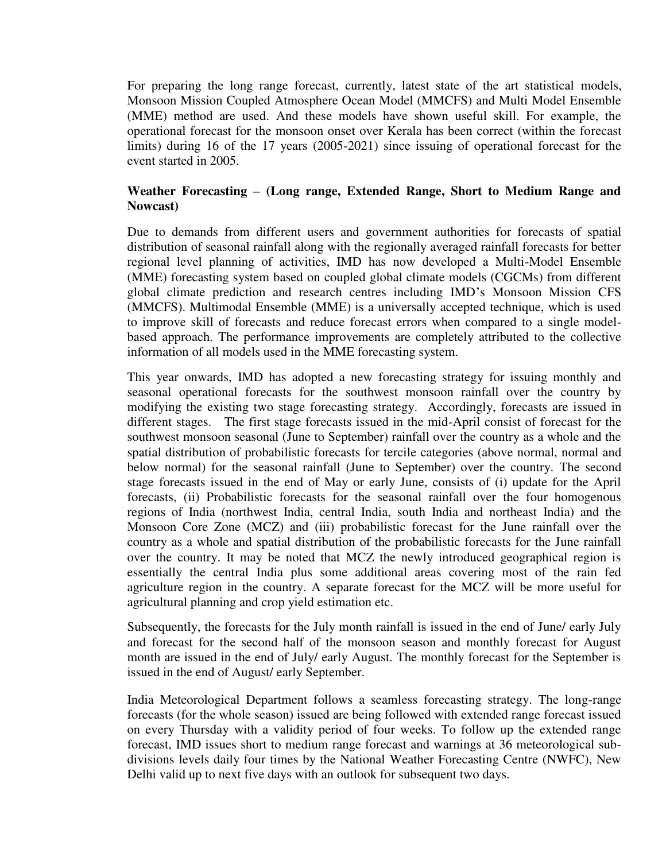For preparing the long range forecast, currently, latest state of the art statistical models, Monsoon Mission Coupled Atmosphere Ocean Model (MMCFS) and Multi Model Ensemble (MME) method are used. And these models have shown useful skill. For example, the operational forecast for the monsoon onset over Kerala has been correct (within the forecast limits) during 16 of the 17 years (2005-2021) since issuing of operational forecast for the event started in 2005.

## **Weather Forecasting – (Long range, Extended Range, Short to Medium Range and Nowcast)**

Due to demands from different users and government authorities for forecasts of spatial distribution of seasonal rainfall along with the regionally averaged rainfall forecasts for better regional level planning of activities, IMD has now developed a Multi-Model Ensemble (MME) forecasting system based on coupled global climate models (CGCMs) from different global climate prediction and research centres including IMD's Monsoon Mission CFS (MMCFS). Multimodal Ensemble (MME) is a universally accepted technique, which is used to improve skill of forecasts and reduce forecast errors when compared to a single modelbased approach. The performance improvements are completely attributed to the collective information of all models used in the MME forecasting system.

This year onwards, IMD has adopted a new forecasting strategy for issuing monthly and seasonal operational forecasts for the southwest monsoon rainfall over the country by modifying the existing two stage forecasting strategy. Accordingly, forecasts are issued in different stages. The first stage forecasts issued in the mid-April consist of forecast for the southwest monsoon seasonal (June to September) rainfall over the country as a whole and the spatial distribution of probabilistic forecasts for tercile categories (above normal, normal and below normal) for the seasonal rainfall (June to September) over the country. The second stage forecasts issued in the end of May or early June, consists of (i) update for the April forecasts, (ii) Probabilistic forecasts for the seasonal rainfall over the four homogenous regions of India (northwest India, central India, south India and northeast India) and the Monsoon Core Zone (MCZ) and (iii) probabilistic forecast for the June rainfall over the country as a whole and spatial distribution of the probabilistic forecasts for the June rainfall over the country. It may be noted that MCZ the newly introduced geographical region is essentially the central India plus some additional areas covering most of the rain fed agriculture region in the country. A separate forecast for the MCZ will be more useful for agricultural planning and crop yield estimation etc.

Subsequently, the forecasts for the July month rainfall is issued in the end of June/ early July and forecast for the second half of the monsoon season and monthly forecast for August month are issued in the end of July/ early August. The monthly forecast for the September is issued in the end of August/ early September.

India Meteorological Department follows a seamless forecasting strategy. The long-range forecasts (for the whole season) issued are being followed with extended range forecast issued on every Thursday with a validity period of four weeks. To follow up the extended range forecast, IMD issues short to medium range forecast and warnings at 36 meteorological subdivisions levels daily four times by the National Weather Forecasting Centre (NWFC), New Delhi valid up to next five days with an outlook for subsequent two days.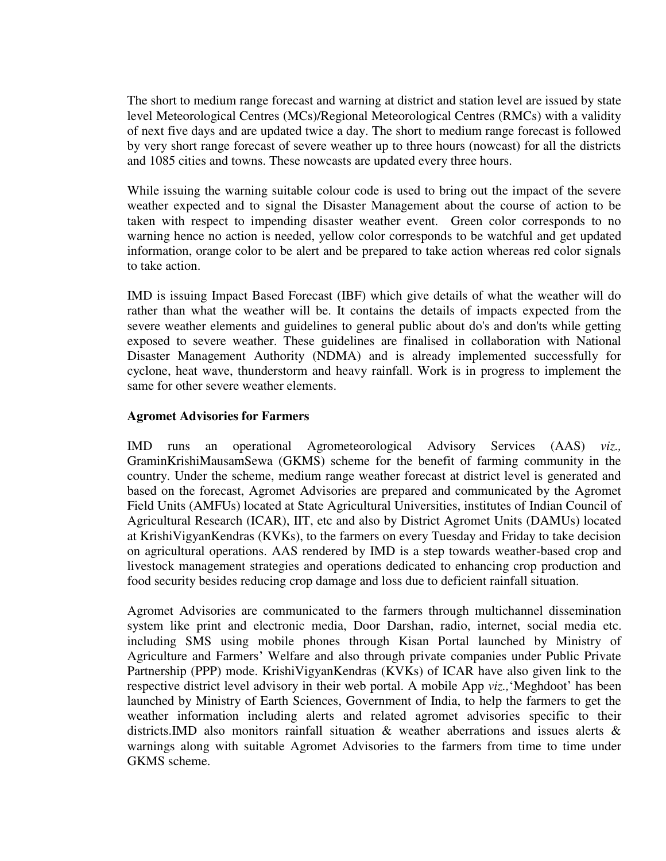The short to medium range forecast and warning at district and station level are issued by state level Meteorological Centres (MCs)/Regional Meteorological Centres (RMCs) with a validity of next five days and are updated twice a day. The short to medium range forecast is followed by very short range forecast of severe weather up to three hours (nowcast) for all the districts and 1085 cities and towns. These nowcasts are updated every three hours.

While issuing the warning suitable colour code is used to bring out the impact of the severe weather expected and to signal the Disaster Management about the course of action to be taken with respect to impending disaster weather event. Green color corresponds to no warning hence no action is needed, yellow color corresponds to be watchful and get updated information, orange color to be alert and be prepared to take action whereas red color signals to take action.

IMD is issuing Impact Based Forecast (IBF) which give details of what the weather will do rather than what the weather will be. It contains the details of impacts expected from the severe weather elements and guidelines to general public about do's and don'ts while getting exposed to severe weather. These guidelines are finalised in collaboration with National Disaster Management Authority (NDMA) and is already implemented successfully for cyclone, heat wave, thunderstorm and heavy rainfall. Work is in progress to implement the same for other severe weather elements.

#### **Agromet Advisories for Farmers**

IMD runs an operational Agrometeorological Advisory Services (AAS) *viz.,*  GraminKrishiMausamSewa (GKMS) scheme for the benefit of farming community in the country. Under the scheme, medium range weather forecast at district level is generated and based on the forecast, Agromet Advisories are prepared and communicated by the Agromet Field Units (AMFUs) located at State Agricultural Universities, institutes of Indian Council of Agricultural Research (ICAR), IIT, etc and also by District Agromet Units (DAMUs) located at KrishiVigyanKendras (KVKs), to the farmers on every Tuesday and Friday to take decision on agricultural operations. AAS rendered by IMD is a step towards weather-based crop and livestock management strategies and operations dedicated to enhancing crop production and food security besides reducing crop damage and loss due to deficient rainfall situation.

Agromet Advisories are communicated to the farmers through multichannel dissemination system like print and electronic media, Door Darshan, radio, internet, social media etc. including SMS using mobile phones through Kisan Portal launched by Ministry of Agriculture and Farmers' Welfare and also through private companies under Public Private Partnership (PPP) mode. KrishiVigyanKendras (KVKs) of ICAR have also given link to the respective district level advisory in their web portal. A mobile App *viz.,*'Meghdoot' has been launched by Ministry of Earth Sciences, Government of India, to help the farmers to get the weather information including alerts and related agromet advisories specific to their districts.IMD also monitors rainfall situation  $\&$  weather aberrations and issues alerts  $\&$ warnings along with suitable Agromet Advisories to the farmers from time to time under GKMS scheme.